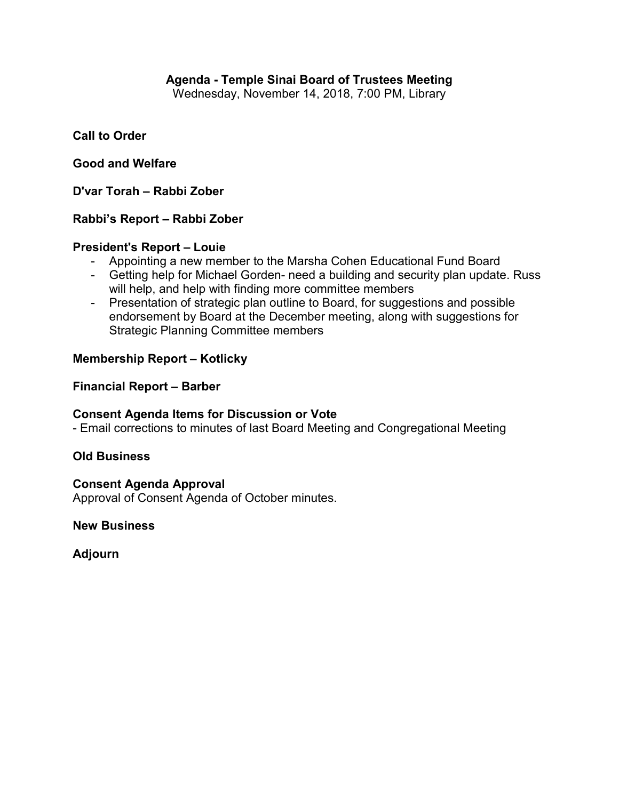# **Agenda - Temple Sinai Board of Trustees Meeting**

Wednesday, November 14, 2018, 7:00 PM, Library

## **Call to Order**

### **Good and Welfare**

**D'var Torah – Rabbi Zober**

### **Rabbi's Report – Rabbi Zober**

#### **President's Report – Louie**

- Appointing a new member to the Marsha Cohen Educational Fund Board
- Getting help for Michael Gorden- need a building and security plan update. Russ will help, and help with finding more committee members
- Presentation of strategic plan outline to Board, for suggestions and possible endorsement by Board at the December meeting, along with suggestions for Strategic Planning Committee members

### **Membership Report – Kotlicky**

### **Financial Report – Barber**

#### **Consent Agenda Items for Discussion or Vote**

- Email corrections to minutes of last Board Meeting and Congregational Meeting

## **Old Business**

#### **Consent Agenda Approval**

Approval of Consent Agenda of October minutes.

**New Business**

**Adjourn**